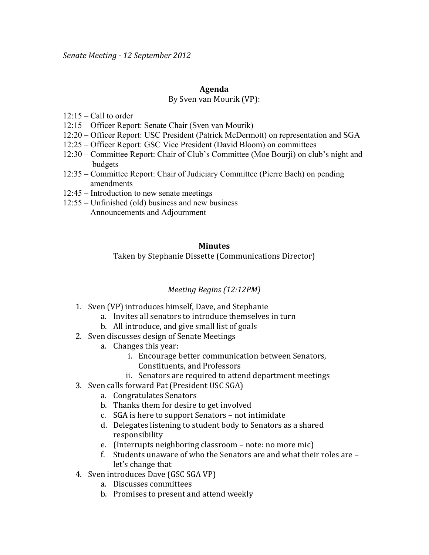### **Agenda**

#### By Sven van Mourik (VP):

- $12:15 -$ Call to order
- 12:15 Officer Report: Senate Chair (Sven van Mourik)
- 12:20 Officer Report: USC President (Patrick McDermott) on representation and SGA
- 12:25 Officer Report: GSC Vice President (David Bloom) on committees
- 12:30 Committee Report: Chair of Club's Committee (Moe Bourji) on club's night and budgets
- 12:35 Committee Report: Chair of Judiciary Committee (Pierre Bach) on pending amendments
- 12:45 Introduction to new senate meetings
- 12:55 Unfinished (old) business and new business
	- Announcements and Adjournment

### **Minutes**

Taken by Stephanie Dissette (Communications Director)

# *Meeting Begins (12:12PM)*

- 1. Sven (VP) introduces himself, Dave, and Stephanie
	- a. Invites all senators to introduce themselves in turn
	- b. All introduce, and give small list of goals
- 2. Sven discusses design of Senate Meetings
	- a. Changes this year:
		- i. Encourage better communication between Senators,
			- Constituents,!and!Professors
		- ii. Senators are required to attend department meetings
- 3. Sven calls forward Pat (President USC SGA)
	- a. Congratulates Senators
	- b. Thanks them for desire to get involved
	- c. SGA is here to support Senators not intimidate
	- d. Delegates listening to student body to Senators as a shared responsibility
	- e. (Interrupts neighboring classroom note: no more mic)
	- f. Students unaware of who the Senators are and what their roles are  $$ let's change that
- 4. Sven introduces Dave (GSC SGA VP)
	- a. Discusses committees
	- b. Promises to present and attend weekly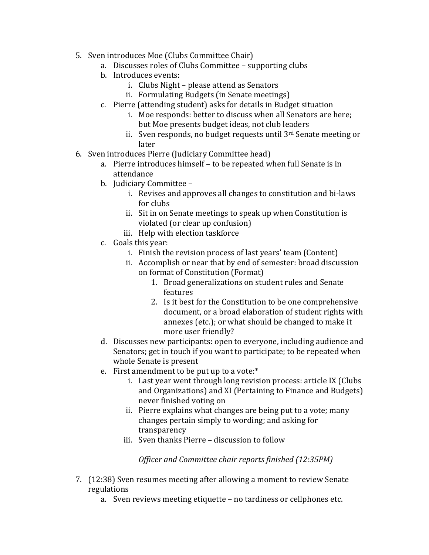- 5. Sven introduces Moe (Clubs Committee Chair)
	- a. Discusses roles of Clubs Committee supporting clubs
	- b. Introduces events:
		- i. Clubs Night please attend as Senators
		- ii. Formulating Budgets (in Senate meetings)
	- c. Pierre (attending student) asks for details in Budget situation
		- i. Moe responds: better to discuss when all Senators are here; but Moe presents budget ideas, not club leaders
		- ii. Sven responds, no budget requests until  $3<sup>rd</sup>$  Senate meeting or later
- 6. Sven introduces Pierre (Judiciary Committee head)
	- a. Pierre introduces himself to be repeated when full Senate is in attendance
	- b. Judiciary Committee
		- i. Revises and approves all changes to constitution and bi-laws for clubs
		- ii. Sit in on Senate meetings to speak up when Constitution is violated (or clear up confusion)
		- iii. Help with election taskforce
	- c. Goals this year:
		- i. Finish the revision process of last years' team (Content)
		- ii. Accomplish or near that by end of semester: broad discussion on format of Constitution (Format)
			- 1. Broad generalizations on student rules and Senate features
			- 2. Is it best for the Constitution to be one comprehensive document, or a broad elaboration of student rights with annexes (etc.); or what should be changed to make it more user friendly?
	- d. Discusses new participants: open to everyone, including audience and Senators; get in touch if you want to participate; to be repeated when whole Senate is present
	- e. First amendment to be put up to a vote: $*$ 
		- i. Last year went through long revision process: article IX (Clubs) and Organizations) and XI (Pertaining to Finance and Budgets) never finished voting on
		- ii. Pierre explains what changes are being put to a vote; many changes pertain simply to wording; and asking for transparency!
		- iii. Sven thanks Pierre discussion to follow

*Officer and Committee chair reports finished (12:35PM)* 

- 7. (12:38) Sven resumes meeting after allowing a moment to review Senate regulations
	- a. Sven reviews meeting etiquette no tardiness or cellphones etc.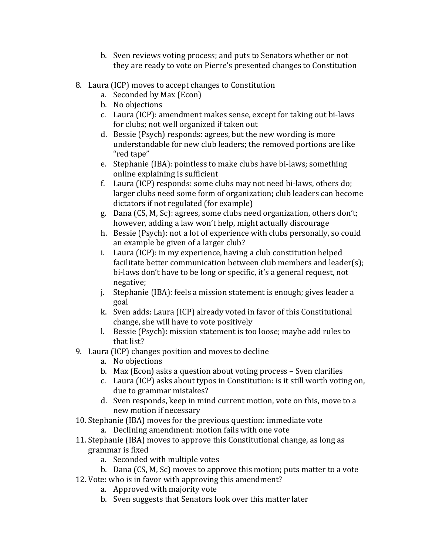- b. Sven reviews voting process; and puts to Senators whether or not they are ready to vote on Pierre's presented changes to Constitution
- 8. Laura (ICP) moves to accept changes to Constitution
	- a. Seconded by Max (Econ)
	- b. No objections
	- c. Laura (ICP): amendment makes sense, except for taking out bi-laws for clubs; not well organized if taken out
	- d. Bessie (Psych) responds: agrees, but the new wording is more understandable for new club leaders; the removed portions are like "red tape"
	- e. Stephanie (IBA): pointless to make clubs have bi-laws; something online explaining is sufficient
	- f. Laura (ICP) responds: some clubs may not need bi-laws, others do; larger clubs need some form of organization; club leaders can become dictators if not regulated (for example)
	- g. Dana (CS, M, Sc): agrees, some clubs need organization, others don't; however, adding a law won't help, might actually discourage
	- h. Bessie (Psych): not a lot of experience with clubs personally, so could an example be given of a larger club?
	- i. Laura (ICP): in my experience, having a club constitution helped facilitate better communication between club members and leader(s); bi-laws don't have to be long or specific, it's a general request, not negative;
	- j. Stephanie (IBA): feels a mission statement is enough; gives leader a goal
	- k. Sven adds: Laura (ICP) already voted in favor of this Constitutional change, she will have to vote positively
	- l. Bessie (Psych): mission statement is too loose; maybe add rules to that list?
- 9. Laura (ICP) changes position and moves to decline
	- a. No objections
	- b. Max (Econ) asks a question about voting process  $-$  Sven clarifies
	- c. Laura (ICP) asks about typos in Constitution: is it still worth voting on, due to grammar mistakes?
	- d. Sven responds, keep in mind current motion, vote on this, move to a new motion if necessary
- 10. Stephanie (IBA) moves for the previous question: immediate vote
	- a. Declining amendment: motion fails with one vote
- 11. Stephanie (IBA) moves to approve this Constitutional change, as long as grammar is fixed
	- a. Seconded with multiple votes
	- b. Dana (CS, M, Sc) moves to approve this motion; puts matter to a vote
- 12. Vote: who is in favor with approving this amendment?
	- a. Approved with majority vote
	- b. Sven suggests that Senators look over this matter later